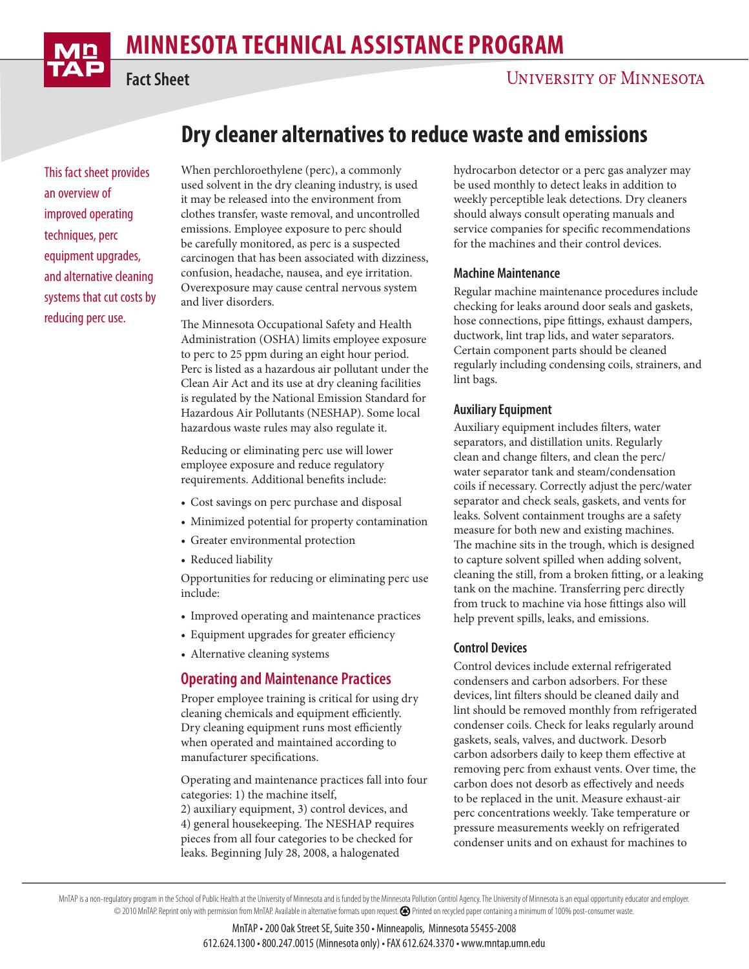# **minnesota Technical Assistance Program**

**Fact Sheet**

## **UNIVERSITY OF MINNESOTA**

## **Dry cleaner alternatives to reduce waste and emissions**

This fact sheet provides an overview of improved operating techniques, perc equipment upgrades, and alternative cleaning systems that cut costs by reducing perc use.

When perchloroethylene (perc), a commonly used solvent in the dry cleaning industry, is used it may be released into the environment from clothes transfer, waste removal, and uncontrolled emissions. Employee exposure to perc should be carefully monitored, as perc is a suspected carcinogen that has been associated with dizziness, confusion, headache, nausea, and eye irritation. Overexposure may cause central nervous system and liver disorders.

The Minnesota Occupational Safety and Health Administration (OSHA) limits employee exposure to perc to 25 ppm during an eight hour period. Perc is listed as a hazardous air pollutant under the Clean Air Act and its use at dry cleaning facilities is regulated by the National Emission Standard for Hazardous Air Pollutants (NESHAP). Some local hazardous waste rules may also regulate it.

Reducing or eliminating perc use will lower employee exposure and reduce regulatory requirements. Additional benefits include:

- Cost savings on perc purchase and disposal
- Minimized potential for property contamination
- Greater environmental protection
- Reduced liability

Opportunities for reducing or eliminating perc use include:

- Improved operating and maintenance practices
- Equipment upgrades for greater efficiency
- Alternative cleaning systems

## **Operating and Maintenance Practices**

Proper employee training is critical for using dry cleaning chemicals and equipment efficiently. Dry cleaning equipment runs most efficiently when operated and maintained according to manufacturer specifications.

Operating and maintenance practices fall into four categories: 1) the machine itself,

2) auxiliary equipment, 3) control devices, and 4) general housekeeping. The NESHAP requires pieces from all four categories to be checked for leaks. Beginning July 28, 2008, a halogenated

hydrocarbon detector or a perc gas analyzer may be used monthly to detect leaks in addition to weekly perceptible leak detections. Dry cleaners should always consult operating manuals and service companies for specific recommendations for the machines and their control devices.

#### **Machine Maintenance**

Regular machine maintenance procedures include checking for leaks around door seals and gaskets, hose connections, pipe fittings, exhaust dampers, ductwork, lint trap lids, and water separators. Certain component parts should be cleaned regularly including condensing coils, strainers, and lint bags.

#### **Auxiliary Equipment**

Auxiliary equipment includes filters, water separators, and distillation units. Regularly clean and change filters, and clean the perc/ water separator tank and steam/condensation coils if necessary. Correctly adjust the perc/water separator and check seals, gaskets, and vents for leaks. Solvent containment troughs are a safety measure for both new and existing machines. The machine sits in the trough, which is designed to capture solvent spilled when adding solvent, cleaning the still, from a broken fitting, or a leaking tank on the machine. Transferring perc directly from truck to machine via hose fittings also will help prevent spills, leaks, and emissions.

#### **Control Devices**

Control devices include external refrigerated condensers and carbon adsorbers. For these devices, lint filters should be cleaned daily and lint should be removed monthly from refrigerated condenser coils. Check for leaks regularly around gaskets, seals, valves, and ductwork. Desorb carbon adsorbers daily to keep them effective at removing perc from exhaust vents. Over time, the carbon does not desorb as effectively and needs to be replaced in the unit. Measure exhaust-air perc concentrations weekly. Take temperature or pressure measurements weekly on refrigerated condenser units and on exhaust for machines to

MnTAP is a non-regulatory program in the School of Public Health at the University of Minnesota and is funded by the Minnesota Pollution Control Agency. The University of Minnesota is an equal opportunity educator and empl © 2010 MnTAP. Reprint only with permission from MnTAP. Available in alternative formats upon request. Printed on recycled paper containing a minimum of 100% post-consumer waste.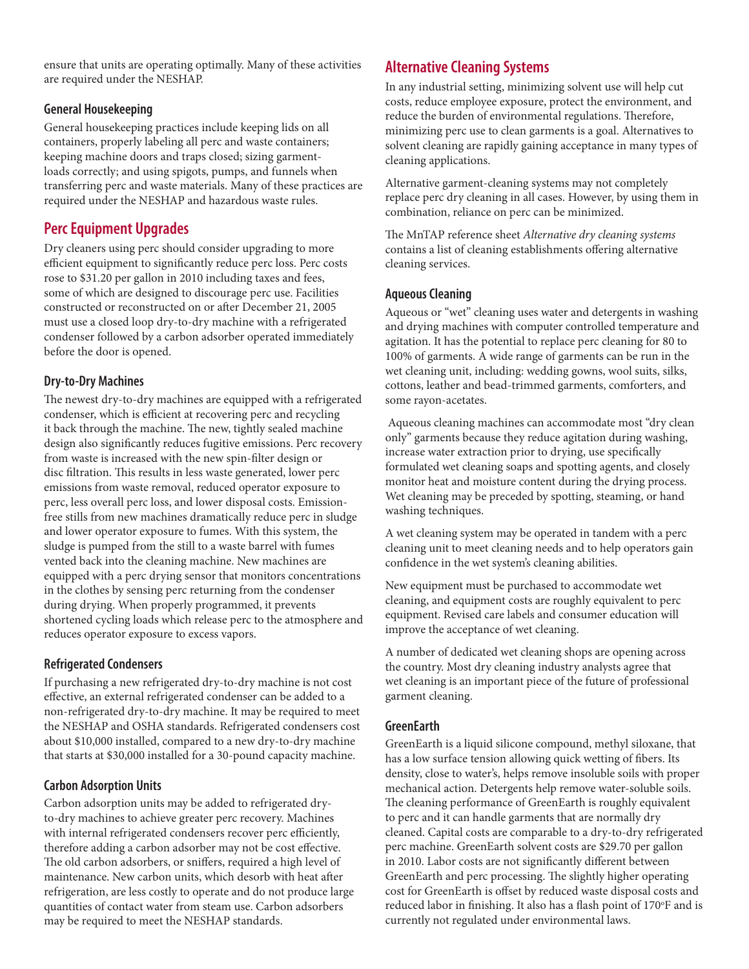ensure that units are operating optimally. Many of these activities are required under the NESHAP.

#### **General Housekeeping**

General housekeeping practices include keeping lids on all containers, properly labeling all perc and waste containers; keeping machine doors and traps closed; sizing garmentloads correctly; and using spigots, pumps, and funnels when transferring perc and waste materials. Many of these practices are required under the NESHAP and hazardous waste rules.

## **Perc Equipment Upgrades**

Dry cleaners using perc should consider upgrading to more efficient equipment to significantly reduce perc loss. Perc costs rose to \$31.20 per gallon in 2010 including taxes and fees, some of which are designed to discourage perc use. Facilities constructed or reconstructed on or after December 21, 2005 must use a closed loop dry-to-dry machine with a refrigerated condenser followed by a carbon adsorber operated immediately before the door is opened.

#### **Dry-to-Dry Machines**

The newest dry-to-dry machines are equipped with a refrigerated condenser, which is efficient at recovering perc and recycling it back through the machine. The new, tightly sealed machine design also significantly reduces fugitive emissions. Perc recovery from waste is increased with the new spin-filter design or disc filtration. This results in less waste generated, lower perc emissions from waste removal, reduced operator exposure to perc, less overall perc loss, and lower disposal costs. Emissionfree stills from new machines dramatically reduce perc in sludge and lower operator exposure to fumes. With this system, the sludge is pumped from the still to a waste barrel with fumes vented back into the cleaning machine. New machines are equipped with a perc drying sensor that monitors concentrations in the clothes by sensing perc returning from the condenser during drying. When properly programmed, it prevents shortened cycling loads which release perc to the atmosphere and reduces operator exposure to excess vapors.

#### **Refrigerated Condensers**

If purchasing a new refrigerated dry-to-dry machine is not cost effective, an external refrigerated condenser can be added to a non-refrigerated dry-to-dry machine. It may be required to meet the NESHAP and OSHA standards. Refrigerated condensers cost about \$10,000 installed, compared to a new dry-to-dry machine that starts at \$30,000 installed for a 30-pound capacity machine.

#### **Carbon Adsorption Units**

Carbon adsorption units may be added to refrigerated dryto-dry machines to achieve greater perc recovery. Machines with internal refrigerated condensers recover perc efficiently, therefore adding a carbon adsorber may not be cost effective. The old carbon adsorbers, or sniffers, required a high level of maintenance. New carbon units, which desorb with heat after refrigeration, are less costly to operate and do not produce large quantities of contact water from steam use. Carbon adsorbers may be required to meet the NESHAP standards.

## **Alternative Cleaning Systems**

In any industrial setting, minimizing solvent use will help cut costs, reduce employee exposure, protect the environment, and reduce the burden of environmental regulations. Therefore, minimizing perc use to clean garments is a goal. Alternatives to solvent cleaning are rapidly gaining acceptance in many types of cleaning applications.

Alternative garment-cleaning systems may not completely replace perc dry cleaning in all cases. However, by using them in combination, reliance on perc can be minimized.

The MnTAP reference sheet *Alternative dry cleaning systems*  contains a list of cleaning establishments offering alternative cleaning services.

#### **Aqueous Cleaning**

Aqueous or "wet" cleaning uses water and detergents in washing and drying machines with computer controlled temperature and agitation. It has the potential to replace perc cleaning for 80 to 100% of garments. A wide range of garments can be run in the wet cleaning unit, including: wedding gowns, wool suits, silks, cottons, leather and bead-trimmed garments, comforters, and some rayon-acetates.

 Aqueous cleaning machines can accommodate most "dry clean only" garments because they reduce agitation during washing, increase water extraction prior to drying, use specifically formulated wet cleaning soaps and spotting agents, and closely monitor heat and moisture content during the drying process. Wet cleaning may be preceded by spotting, steaming, or hand washing techniques.

A wet cleaning system may be operated in tandem with a perc cleaning unit to meet cleaning needs and to help operators gain confidence in the wet system's cleaning abilities.

New equipment must be purchased to accommodate wet cleaning, and equipment costs are roughly equivalent to perc equipment. Revised care labels and consumer education will improve the acceptance of wet cleaning.

A number of dedicated wet cleaning shops are opening across the country. Most dry cleaning industry analysts agree that wet cleaning is an important piece of the future of professional garment cleaning.

#### **GreenEarth**

GreenEarth is a liquid silicone compound, methyl siloxane, that has a low surface tension allowing quick wetting of fibers. Its density, close to water's, helps remove insoluble soils with proper mechanical action. Detergents help remove water-soluble soils. The cleaning performance of GreenEarth is roughly equivalent to perc and it can handle garments that are normally dry cleaned. Capital costs are comparable to a dry-to-dry refrigerated perc machine. GreenEarth solvent costs are \$29.70 per gallon in 2010. Labor costs are not significantly different between GreenEarth and perc processing. The slightly higher operating cost for GreenEarth is offset by reduced waste disposal costs and reduced labor in finishing. It also has a flash point of 170°F and is currently not regulated under environmental laws.